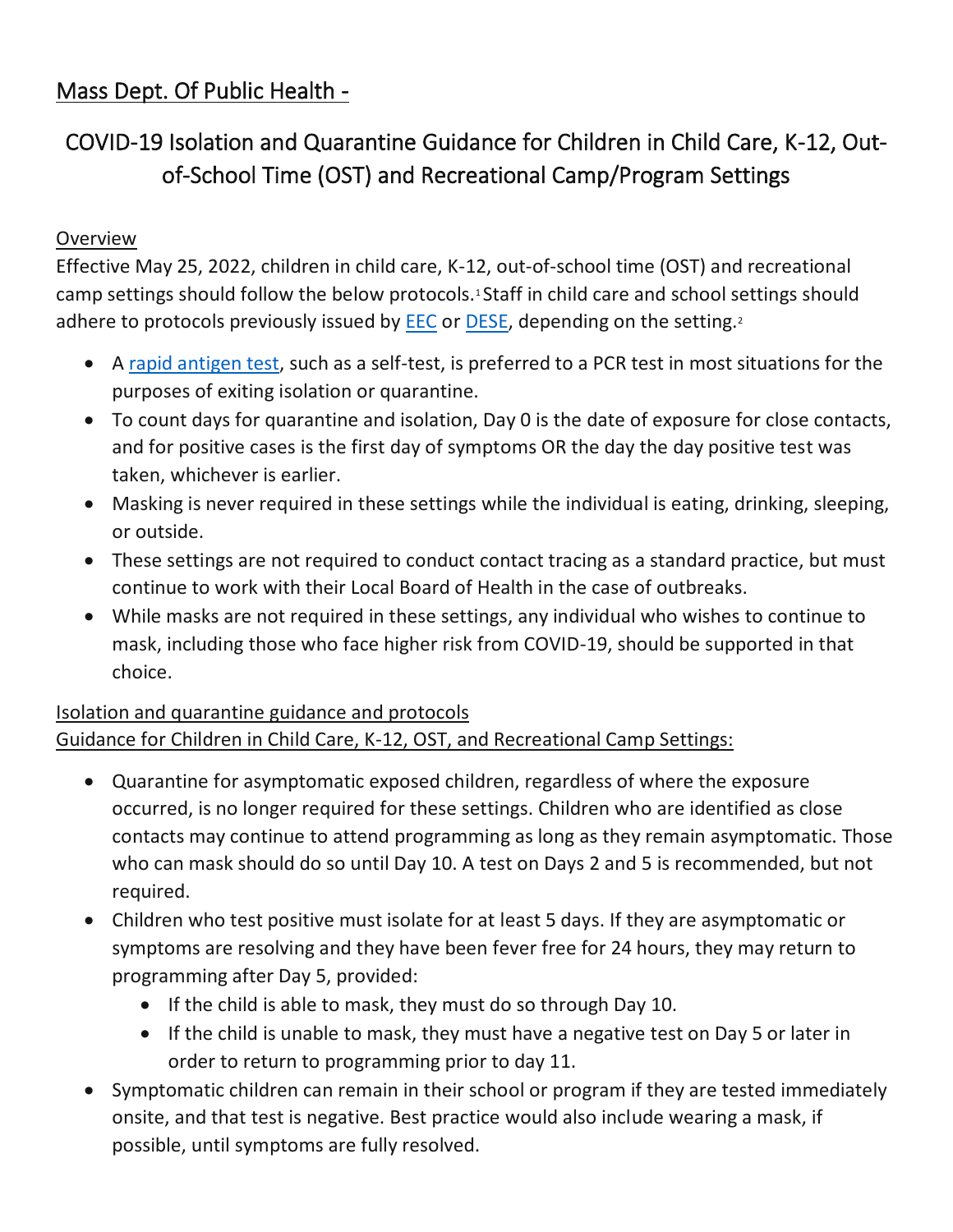## Mass Dept. Of Public Health -

# COVID-19 Isolation and Quarantine Guidance for Children in Child Care, K-12, Outof-School Time (OST) and Recreational Camp/Program Settings

#### Overview

Effective May 25, 2022, children in child care, K-12, out-of-school time (OST) and recreational camp settings should follow the below protocols.1 Staff in child care and school settings should adhere to protocols previously issued by [EEC](https://www.mass.gov/info-details/eec-covid-19-resources-and-information) or [DESE,](https://www.doe.mass.edu/covid19/on-desktop/protocols/protocols.pdf) depending on the setting.<sup>2</sup>

- A [rapid antigen test,](https://www.mass.gov/info-details/using-a-covid-19-self-test) such as a self-test, is preferred to a PCR test in most situations for the purposes of exiting isolation or quarantine.
- To count days for quarantine and isolation, Day 0 is the date of exposure for close contacts, and for positive cases is the first day of symptoms OR the day the day positive test was taken, whichever is earlier.
- Masking is never required in these settings while the individual is eating, drinking, sleeping, or outside.
- These settings are not required to conduct contact tracing as a standard practice, but must continue to work with their Local Board of Health in the case of outbreaks.
- While masks are not required in these settings, any individual who wishes to continue to mask, including those who face higher risk from COVID-19, should be supported in that choice.

### Isolation and quarantine guidance and protocols

### Guidance for Children in Child Care, K-12, OST, and Recreational Camp Settings:

- Quarantine for asymptomatic exposed children, regardless of where the exposure occurred, is no longer required for these settings. Children who are identified as close contacts may continue to attend programming as long as they remain asymptomatic. Those who can mask should do so until Day 10. A test on Days 2 and 5 is recommended, but not required.
- Children who test positive must isolate for at least 5 days. If they are asymptomatic or symptoms are resolving and they have been fever free for 24 hours, they may return to programming after Day 5, provided:
	- If the child is able to mask, they must do so through Day 10.
	- If the child is unable to mask, they must have a negative test on Day 5 or later in order to return to programming prior to day 11.
- Symptomatic children can remain in their school or program if they are tested immediately onsite, and that test is negative. Best practice would also include wearing a mask, if possible, until symptoms are fully resolved.